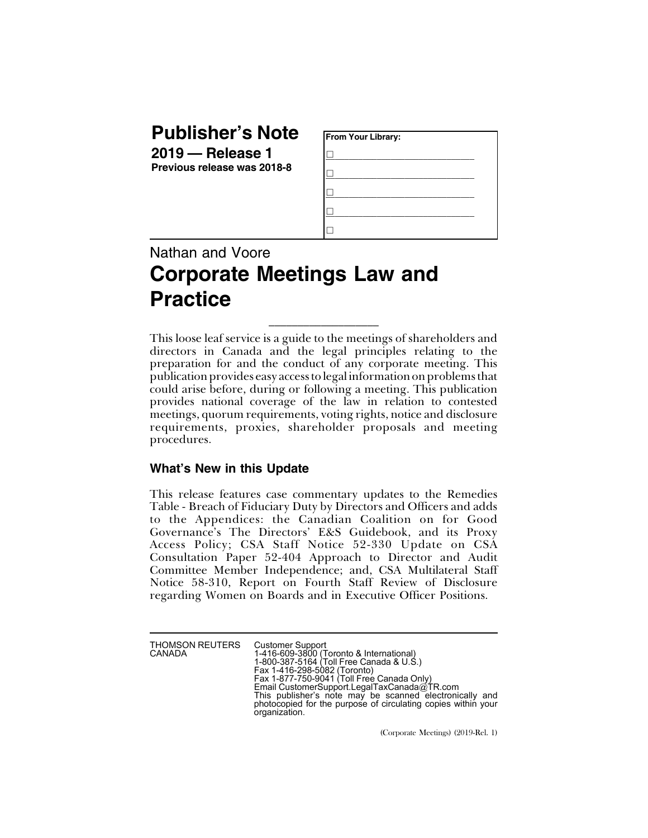## **Publisher's Note**

**2019 — Release 1 Previous release was 2018-8**

| From Your Library: |  |
|--------------------|--|
|                    |  |
|                    |  |
|                    |  |
|                    |  |
|                    |  |

## Nathan and Voore **Corporate Meetings Law and Practice**

This loose leaf service is a guide to the meetings of shareholders and directors in Canada and the legal principles relating to the preparation for and the conduct of any corporate meeting. This publication provides easy access to legal information on problems that could arise before, during or following a meeting. This publication provides national coverage of the law in relation to contested meetings, quorum requirements, voting rights, notice and disclosure requirements, proxies, shareholder proposals and meeting procedures.

 $\_$ 

## **What's New in this Update**

This release features case commentary updates to the Remedies Table - Breach of Fiduciary Duty by Directors and Officers and adds to the Appendices: the Canadian Coalition on for Good Governance's The Directors' E&S Guidebook, and its Proxy Access Policy; CSA Staff Notice 52-330 Update on CSA Consultation Paper 52-404 Approach to Director and Audit Committee Member Independence; and, CSA Multilateral Staff Notice 58-310, Report on Fourth Staff Review of Disclosure regarding Women on Boards and in Executive Officer Positions.

THOMSON REUTERS CANADA

Customer Support 1-416-609-3800 (Toronto & International) 1-800-387-5164 (Toll Free Canada & U.S.) Fax 1-416-298-5082 (Toronto) Fax 1-877-750-9041 (Toll Free Canada Only) Email CustomerSupport.LegalTaxCanada@TR.com This publisher's note may be scanned electronically and photocopied for the purpose of circulating copies within your organization.

(Corporate Meetings) (2019-Rel. 1)